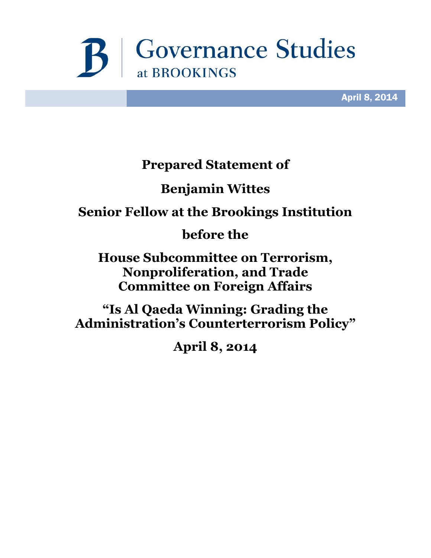

April 8, 2014

## **Prepared Statement of**

# **Benjamin Wittes**

# **Senior Fellow at the Brookings Institution**

## **before the**

**House Subcommittee on Terrorism, Nonproliferation, and Trade Committee on Foreign Affairs**

**"Is Al Qaeda Winning: Grading the Administration's Counterterrorism Policy"**

**April 8, 2014**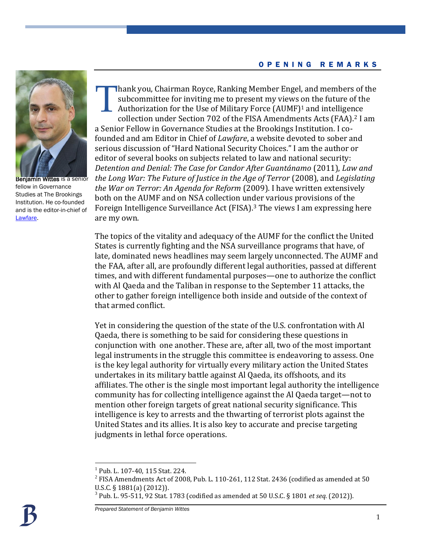### O P E N I N G R E M A R K S



**Benjamin Wittes is a senior** fellow in Governance Studies at The Brookings Institution. He co-founded and is the editor-in-chief of [Lawfare.](http://www.lawfareblog.com/)

hank you, Chairman Royce, Ranking Member Engel, and members of the subcommittee for inviting me to present my views on the future of the Authorization for the Use of Military Force (AUMF)<sup>1</sup> and intelligence collection under Section 702 of the FISA Amendments Acts (FAA). <sup>2</sup> I am a Senior Fellow in Governance Studies at the Brookings Institution. I cofounded and am Editor in Chief of *Lawfare*, a website devoted to sober and serious discussion of "Hard National Security Choices." I am the author or editor of several books on subjects related to law and national security: *Detention and Denial: The Case for Candor After Guantánamo* (2011), *Law and the Long War: The Future of Justice in the Age of Terror* (2008), and *Legislating the War on Terror: An Agenda for Reform* (2009). I have written extensively both on the AUMF and on NSA collection under various provisions of the Foreign Intelligence Surveillance Act (FISA). <sup>3</sup> The views I am expressing here are my own. T

The topics of the vitality and adequacy of the AUMF for the conflict the United States is currently fighting and the NSA surveillance programs that have, of late, dominated news headlines may seem largely unconnected. The AUMF and the FAA, after all, are profoundly different legal authorities, passed at different times, and with different fundamental purposes—one to authorize the conflict with Al Qaeda and the Taliban in response to the September 11 attacks, the other to gather foreign intelligence both inside and outside of the context of that armed conflict.

Yet in considering the question of the state of the U.S. confrontation with Al Qaeda, there is something to be said for considering these questions in conjunction with one another. These are, after all, two of the most important legal instruments in the struggle this committee is endeavoring to assess. One is the key legal authority for virtually every military action the United States undertakes in its military battle against Al Qaeda, its offshoots, and its affiliates. The other is the single most important legal authority the intelligence community has for collecting intelligence against the Al Qaeda target—not to mention other foreign targets of great national security significance. This intelligence is key to arrests and the thwarting of terrorist plots against the United States and its allies. It is also key to accurate and precise targeting judgments in lethal force operations.

<sup>&</sup>lt;sup>1</sup> Pub. L. 107-40, 115 Stat. 224.

 $^2$  FISA Amendments Act of 2008, Pub. L. 110-261, 112 Stat. 2436 (codified as amended at 50 U.S.C. § 1881(a) (2012)).

<sup>3</sup> Pub. L. 95-511, 92 Stat. 1783 (codified as amended at 50 U.S.C. § 1801 *et seq.* (2012)).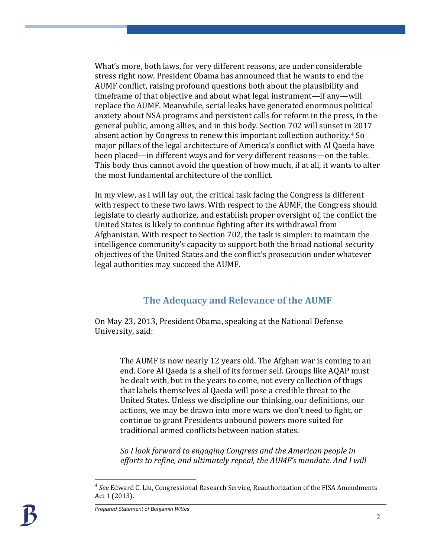What's more, both laws, for very different reasons, are under considerable stress right now. President Obama has announced that he wants to end the AUMF conflict, raising profound questions both about the plausibility and timeframe of that objective and about what legal instrument—if any—will replace the AUMF. Meanwhile, serial leaks have generated enormous political anxiety about NSA programs and persistent calls for reform in the press, in the general public, among allies, and in this body. Section 702 will sunset in 2017 absent action by Congress to renew this important collection authority. <sup>4</sup> So major pillars of the legal architecture of America's conflict with Al Qaeda have been placed—in different ways and for very different reasons—on the table. This body thus cannot avoid the question of how much, if at all, it wants to alter the most fundamental architecture of the conflict.

In my view, as I will lay out, the critical task facing the Congress is different with respect to these two laws. With respect to the AUMF, the Congress should legislate to clearly authorize, and establish proper oversight of, the conflict the United States is likely to continue fighting after its withdrawal from Afghanistan. With respect to Section 702, the task is simpler: to maintain the intelligence community's capacity to support both the broad national security objectives of the United States and the conflict's prosecution under whatever legal authorities may succeed the AUMF.

### **The Adequacy and Relevance of the AUMF**

On May 23, 2013, President Obama, speaking at the National Defense University, said:

> The AUMF is now nearly 12 years old. The Afghan war is coming to an end. Core Al Qaeda is a shell of its former self. Groups like AQAP must be dealt with, but in the years to come, not every collection of thugs that labels themselves al Qaeda will pose a credible threat to the United States. Unless we discipline our thinking, our definitions, our actions, we may be drawn into more wars we don't need to fight, or continue to grant Presidents unbound powers more suited for traditional armed conflicts between nation states.

*So I look forward to engaging Congress and the American people in efforts to refine, and ultimately repeal, the AUMF's mandate. And I will* 

<sup>4</sup> *See* Edward C. Liu, Congressional Research Service, Reauthorization of the FISA Amendments Act 1 (2013).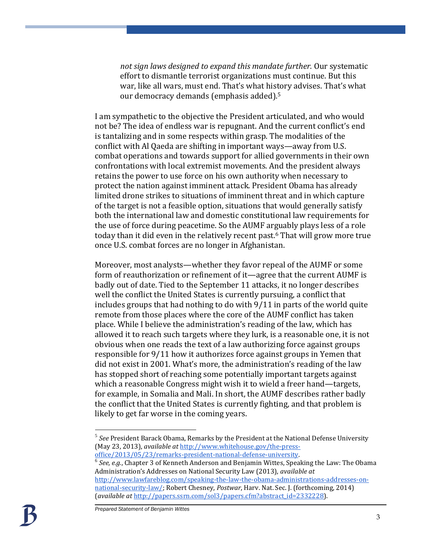*not sign laws designed to expand this mandate further.* Our systematic effort to dismantle terrorist organizations must continue. But this war, like all wars, must end. That's what history advises. That's what our democracy demands (emphasis added). 5

I am sympathetic to the objective the President articulated, and who would not be? The idea of endless war is repugnant. And the current conflict's end is tantalizing and in some respects within grasp. The modalities of the conflict with Al Qaeda are shifting in important ways—away from U.S. combat operations and towards support for allied governments in their own confrontations with local extremist movements. And the president always retains the power to use force on his own authority when necessary to protect the nation against imminent attack. President Obama has already limited drone strikes to situations of imminent threat and in which capture of the target is not a feasible option, situations that would generally satisfy both the international law and domestic constitutional law requirements for the use of force during peacetime. So the AUMF arguably plays less of a role today than it did even in the relatively recent past.<sup>6</sup> That will grow more true once U.S. combat forces are no longer in Afghanistan.

Moreover, most analysts—whether they favor repeal of the AUMF or some form of reauthorization or refinement of it—agree that the current AUMF is badly out of date. Tied to the September 11 attacks, it no longer describes well the conflict the United States is currently pursuing, a conflict that includes groups that had nothing to do with 9/11 in parts of the world quite remote from those places where the core of the AUMF conflict has taken place. While I believe the administration's reading of the law, which has allowed it to reach such targets where they lurk, is a reasonable one, it is not obvious when one reads the text of a law authorizing force against groups responsible for 9/11 how it authorizes force against groups in Yemen that did not exist in 2001. What's more, the administration's reading of the law has stopped short of reaching some potentially important targets against which a reasonable Congress might wish it to wield a freer hand—targets, for example, in Somalia and Mali. In short, the AUMF describes rather badly the conflict that the United States is currently fighting, and that problem is likely to get far worse in the coming years.

<sup>6</sup> See, e.g., Chapter 3 of Kenneth Anderson and Benjamin Wittes, Speaking the Law: The Obama Administration's Addresses on National Security Law (2013), *available at* [http://www.lawfareblog.com/speaking-the-law-the-obama-administrations-addresses-on](http://www.lawfareblog.com/speaking-the-law-the-obama-administrations-addresses-on-national-security-law/)[national-security-law/;](http://www.lawfareblog.com/speaking-the-law-the-obama-administrations-addresses-on-national-security-law/) Robert Chesney, *Postwar*, Harv. Nat. Sec. J. (forthcoming, 2014) (*available at* [http://papers.ssrn.com/sol3/papers.cfm?abstract\\_id=2332228\)](http://papers.ssrn.com/sol3/papers.cfm?abstract_id=2332228).

<sup>5</sup> *See* President Barack Obama, Remarks by the President at the National Defense University (May 23, 2013), *available at* [http://www.whitehouse.gov/the-press](http://www.whitehouse.gov/the-press-office/2013/05/23/remarks-president-national-defense-university)[office/2013/05/23/remarks-president-national-defense-university.](http://www.whitehouse.gov/the-press-office/2013/05/23/remarks-president-national-defense-university)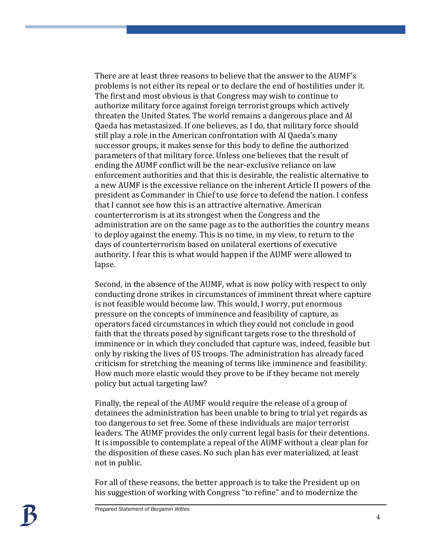There are at least three reasons to believe that the answer to the AUMF's problems is not either its repeal or to declare the end of hostilities under it. The first and most obvious is that Congress may wish to continue to authorize military force against foreign terrorist groups which actively threaten the United States. The world remains a dangerous place and Al Qaeda has metastasized. If one believes, as I do, that military force should still play a role in the American confrontation with Al Qaeda's many successor groups, it makes sense for this body to define the authorized parameters of that military force. Unless one believes that the result of ending the AUMF conflict will be the near-exclusive reliance on law enforcement authorities and that this is desirable, the realistic alternative to a new AUMF is the excessive reliance on the inherent Article II powers of the president as Commander in Chief to use force to defend the nation. I confess that I cannot see how this is an attractive alternative. American counterterrorism is at its strongest when the Congress and the administration are on the same page as to the authorities the country means to deploy against the enemy. This is no time, in my view, to return to the days of counterterrorism based on unilateral exertions of executive authority. I fear this is what would happen if the AUMF were allowed to lapse.

Second, in the absence of the AUMF, what is now policy with respect to only conducting drone strikes in circumstances of imminent threat where capture is not feasible would become law. This would, I worry, put enormous pressure on the concepts of imminence and feasibility of capture, as operators faced circumstances in which they could not conclude in good faith that the threats posed by significant targets rose to the threshold of imminence or in which they concluded that capture was, indeed, feasible but only by risking the lives of US troops. The administration has already faced criticism for stretching the meaning of terms like imminence and feasibility. How much more elastic would they prove to be if they became not merely policy but actual targeting law?

Finally, the repeal of the AUMF would require the release of a group of detainees the administration has been unable to bring to trial yet regards as too dangerous to set free. Some of these individuals are major terrorist leaders. The AUMF provides the only current legal basis for their detentions. It is impossible to contemplate a repeal of the AUMF without a clear plan for the disposition of these cases. No such plan has ever materialized, at least not in public.

For all of these reasons, the better approach is to take the President up on his suggestion of working with Congress "to refine" and to modernize the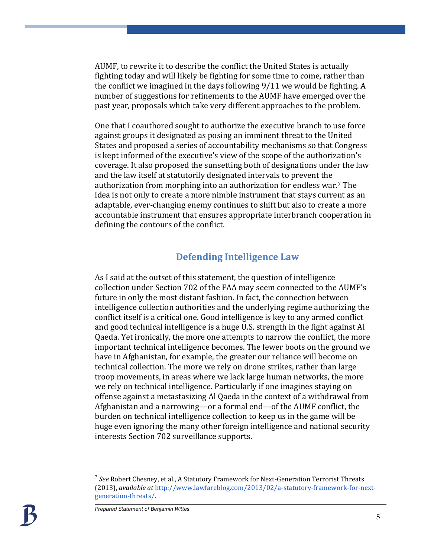AUMF, to rewrite it to describe the conflict the United States is actually fighting today and will likely be fighting for some time to come, rather than the conflict we imagined in the days following 9/11 we would be fighting. A number of suggestions for refinements to the AUMF have emerged over the past year, proposals which take very different approaches to the problem.

One that I coauthored sought to authorize the executive branch to use force against groups it designated as posing an imminent threat to the United States and proposed a series of accountability mechanisms so that Congress is kept informed of the executive's view of the scope of the authorization's coverage. It also proposed the sunsetting both of designations under the law and the law itself at statutorily designated intervals to prevent the authorization from morphing into an authorization for endless war.<sup>7</sup> The idea is not only to create a more nimble instrument that stays current as an adaptable, ever-changing enemy continues to shift but also to create a more accountable instrument that ensures appropriate interbranch cooperation in defining the contours of the conflict.

### **Defending Intelligence Law**

As I said at the outset of this statement, the question of intelligence collection under Section 702 of the FAA may seem connected to the AUMF's future in only the most distant fashion. In fact, the connection between intelligence collection authorities and the underlying regime authorizing the conflict itself is a critical one. Good intelligence is key to any armed conflict and good technical intelligence is a huge U.S. strength in the fight against Al Qaeda. Yet ironically, the more one attempts to narrow the conflict, the more important technical intelligence becomes. The fewer boots on the ground we have in Afghanistan, for example, the greater our reliance will become on technical collection. The more we rely on drone strikes, rather than large troop movements, in areas where we lack large human networks, the more we rely on technical intelligence. Particularly if one imagines staying on offense against a metastasizing Al Qaeda in the context of a withdrawal from Afghanistan and a narrowing—or a formal end—of the AUMF conflict, the burden on technical intelligence collection to keep us in the game will be huge even ignoring the many other foreign intelligence and national security interests Section 702 surveillance supports.

<sup>7</sup> *See* Robert Chesney, et al., A Statutory Framework for Next-Generation Terrorist Threats (2013), *available at* [http://www.lawfareblog.com/2013/02/a-statutory-framework-for-next](http://www.lawfareblog.com/2013/02/a-statutory-framework-for-next-generation-threats/)[generation-threats/.](http://www.lawfareblog.com/2013/02/a-statutory-framework-for-next-generation-threats/)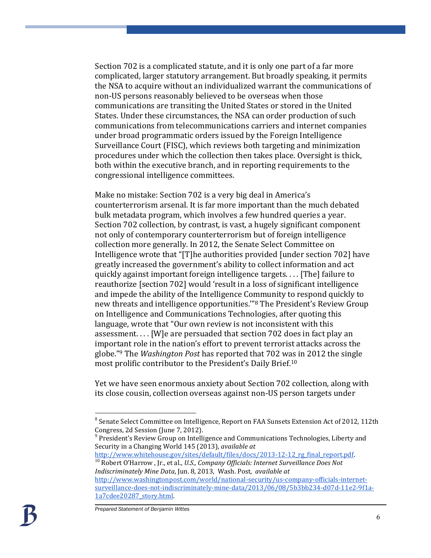Section 702 is a complicated statute, and it is only one part of a far more complicated, larger statutory arrangement. But broadly speaking, it permits the NSA to acquire without an individualized warrant the communications of non-US persons reasonably believed to be overseas when those communications are transiting the United States or stored in the United States. Under these circumstances, the NSA can order production of such communications from telecommunications carriers and internet companies under broad programmatic orders issued by the Foreign Intelligence Surveillance Court (FISC), which reviews both targeting and minimization procedures under which the collection then takes place. Oversight is thick, both within the executive branch, and in reporting requirements to the congressional intelligence committees.

Make no mistake: Section 702 is a very big deal in America's counterterrorism arsenal. It is far more important than the much debated bulk metadata program, which involves a few hundred queries a year. Section 702 collection, by contrast, is vast, a hugely significant component not only of contemporary counterterrorism but of foreign intelligence collection more generally. In 2012, the Senate Select Committee on Intelligence wrote that "[T]he authorities provided [under section 702] have greatly increased the government's ability to collect information and act quickly against important foreign intelligence targets. . . . [The] failure to reauthorize [section 702] would 'result in a loss of significant intelligence and impede the ability of the Intelligence Community to respond quickly to new threats and intelligence opportunities.'"<sup>8</sup> The President's Review Group on Intelligence and Communications Technologies, after quoting this language, wrote that "Our own review is not inconsistent with this assessment. . . . [W]e are persuaded that section 702 does in fact play an important role in the nation's effort to prevent terrorist attacks across the globe."<sup>9</sup> The *Washington Post* has reported that 702 was in 2012 the single most prolific contributor to the President's Daily Brief. 10

Yet we have seen enormous anxiety about Section 702 collection, along with its close cousin, collection overseas against non-US person targets under

[http://www.whitehouse.gov/sites/default/files/docs/2013-12-12\\_rg\\_final\\_report.pdf.](http://www.whitehouse.gov/sites/default/files/docs/2013-12-12_rg_final_report.pdf) <sup>10</sup> Robert O'Harrow , Jr., et al., *U.S., Company Officials: Internet Surveillance Does Not Indiscriminately Mine Data*, Jun. 8, 2013, Wash. Post, *available at*

[http://www.washingtonpost.com/world/national-security/us-company-officials-internet](http://www.washingtonpost.com/world/national-security/us-company-officials-internet-surveillance-does-not-indiscriminately-mine-data/2013/06/08/5b3bb234-d07d-11e2-9f1a-1a7cdee20287_story.html)[surveillance-does-not-indiscriminately-mine-data/2013/06/08/5b3bb234-d07d-11e2-9f1a-](http://www.washingtonpost.com/world/national-security/us-company-officials-internet-surveillance-does-not-indiscriminately-mine-data/2013/06/08/5b3bb234-d07d-11e2-9f1a-1a7cdee20287_story.html)[1a7cdee20287\\_story.html.](http://www.washingtonpost.com/world/national-security/us-company-officials-internet-surveillance-does-not-indiscriminately-mine-data/2013/06/08/5b3bb234-d07d-11e2-9f1a-1a7cdee20287_story.html)

 $8$  Senate Select Committee on Intelligence, Report on FAA Sunsets Extension Act of 2012, 112th Congress, 2d Session (June 7, 2012).

<sup>9</sup> President's Review Group on Intelligence and Communications Technologies, Liberty and Security in a Changing World 145 (2013), *available at*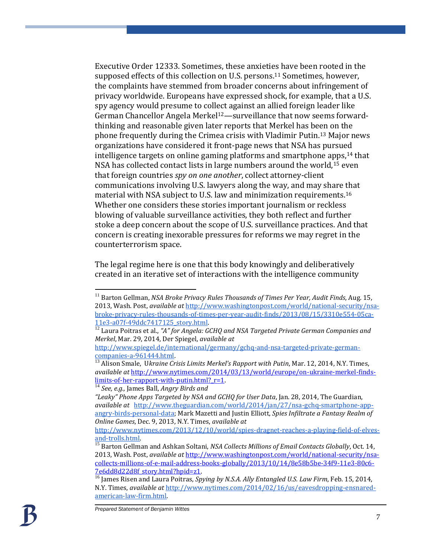Executive Order 12333. Sometimes, these anxieties have been rooted in the supposed effects of this collection on U.S. persons.<sup>11</sup> Sometimes, however, the complaints have stemmed from broader concerns about infringement of privacy worldwide. Europeans have expressed shock, for example, that a U.S. spy agency would presume to collect against an allied foreign leader like German Chancellor Angela Merkel<sup>12</sup>—surveillance that now seems forwardthinking and reasonable given later reports that Merkel has been on the phone frequently during the Crimea crisis with Vladimir Putin. <sup>13</sup> Major news organizations have considered it front-page news that NSA has pursued intelligence targets on online gaming platforms and smartphone apps,<sup>14</sup> that NSA has collected contact lists in large numbers around the world,<sup>15</sup> even that foreign countries *spy on one another*, collect attorney-client communications involving U.S. lawyers along the way, and may share that material with NSA subject to U.S. law and minimization requirements.<sup>16</sup> Whether one considers these stories important journalism or reckless blowing of valuable surveillance activities, they both reflect and further stoke a deep concern about the scope of U.S. surveillance practices. And that concern is creating inexorable pressures for reforms we may regret in the counterterrorism space.

The legal regime here is one that this body knowingly and deliberatively created in an iterative set of interactions with the intelligence community

<sup>11</sup> Barton Gellman, *NSA Broke Privacy Rules Thousands of Times Per Year, Audit Finds*, Aug. 15, 2013, Wash. Post, *available at* [http://www.washingtonpost.com/world/national-security/nsa](http://www.washingtonpost.com/world/national-security/nsa-broke-privacy-rules-thousands-of-times-per-year-audit-finds/2013/08/15/3310e554-05ca-11e3-a07f-49ddc7417125_story.html)[broke-privacy-rules-thousands-of-times-per-year-audit-finds/2013/08/15/3310e554-05ca-](http://www.washingtonpost.com/world/national-security/nsa-broke-privacy-rules-thousands-of-times-per-year-audit-finds/2013/08/15/3310e554-05ca-11e3-a07f-49ddc7417125_story.html)[11e3-a07f-49ddc7417125\\_story.html.](http://www.washingtonpost.com/world/national-security/nsa-broke-privacy-rules-thousands-of-times-per-year-audit-finds/2013/08/15/3310e554-05ca-11e3-a07f-49ddc7417125_story.html)

<sup>12</sup> Laura Poitras et al., *"A" for Angela: GCHQ and NSA Targeted Private German Companies and Merkel*, Mar. 29, 2014, Der Spiegel, *available at*

[http://www.spiegel.de/international/germany/gchq-and-nsa-targeted-private-german](http://www.spiegel.de/international/germany/gchq-and-nsa-targeted-private-german-companies-a-961444.html)[companies-a-961444.html.](http://www.spiegel.de/international/germany/gchq-and-nsa-targeted-private-german-companies-a-961444.html)

<sup>&</sup>lt;sup>13</sup> Alison Smale, Ukraine Crisis Limits Merkel's Rapport with Putin, Mar. 12, 2014, N.Y. Times, *available at* [http://www.nytimes.com/2014/03/13/world/europe/on-ukraine-merkel-finds](http://www.nytimes.com/2014/03/13/world/europe/on-ukraine-merkel-finds-limits-of-her-rapport-with-putin.html?_r=1)limits-of-her-rapport-with-putin.html?  $r=1$ .

<sup>14</sup> *See, e.g.,* James Ball, *Angry Birds and* 

*<sup>&</sup>quot;Leaky" Phone Apps Targeted by NSA and GCHQ for User Data*, Jan. 28, 2014, The Guardian, *available at* [http://www.theguardian.com/world/2014/jan/27/nsa-gchq-smartphone-app](http://www.theguardian.com/world/2014/jan/27/nsa-gchq-smartphone-app-angry-birds-personal-data)[angry-birds-personal-data;](http://www.theguardian.com/world/2014/jan/27/nsa-gchq-smartphone-app-angry-birds-personal-data) Mark Mazetti and Justin Elliott, *Spies Infiltrate a Fantasy Realm of Online Games*, Dec. 9, 2013, N.Y. Times, *available at*

[http://www.nytimes.com/2013/12/10/world/spies-dragnet-reaches-a-playing-field-of-elves](http://www.nytimes.com/2013/12/10/world/spies-dragnet-reaches-a-playing-field-of-elves-and-trolls.html)[and-trolls.html.](http://www.nytimes.com/2013/12/10/world/spies-dragnet-reaches-a-playing-field-of-elves-and-trolls.html)

<sup>15</sup> Barton Gellman and Ashkan Soltani, *NSA Collects Millions of Email Contacts Globally*, Oct. 14, 2013, Wash. Post, *available at* [http://www.washingtonpost.com/world/national-security/nsa](http://www.washingtonpost.com/world/national-security/nsa-collects-millions-of-e-mail-address-books-globally/2013/10/14/8e58b5be-34f9-11e3-80c6-7e6dd8d22d8f_story.html?hpid=z1)[collects-millions-of-e-mail-address-books-globally/2013/10/14/8e58b5be-34f9-11e3-80c6-](http://www.washingtonpost.com/world/national-security/nsa-collects-millions-of-e-mail-address-books-globally/2013/10/14/8e58b5be-34f9-11e3-80c6-7e6dd8d22d8f_story.html?hpid=z1) [7e6dd8d22d8f\\_story.html?hpid=z1.](http://www.washingtonpost.com/world/national-security/nsa-collects-millions-of-e-mail-address-books-globally/2013/10/14/8e58b5be-34f9-11e3-80c6-7e6dd8d22d8f_story.html?hpid=z1)

<sup>&</sup>lt;sup>16</sup> James Risen and Laura Poitras, *Spying by N.S.A. Ally Entangled U.S. Law Firm*, Feb. 15, 2014, N.Y. Times, *available at* [http://www.nytimes.com/2014/02/16/us/eavesdropping-ensnared](http://www.nytimes.com/2014/02/16/us/eavesdropping-ensnared-american-law-firm.html)[american-law-firm.html.](http://www.nytimes.com/2014/02/16/us/eavesdropping-ensnared-american-law-firm.html)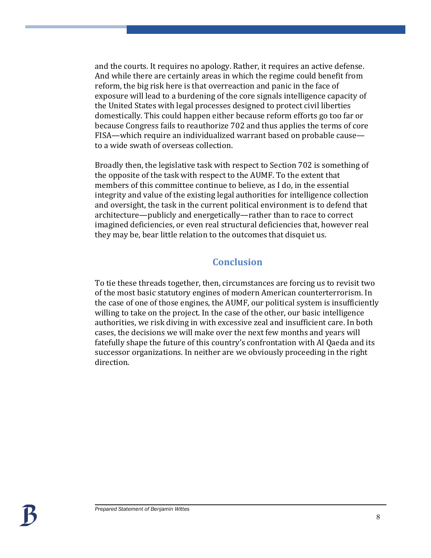and the courts. It requires no apology. Rather, it requires an active defense. And while there are certainly areas in which the regime could benefit from reform, the big risk here is that overreaction and panic in the face of exposure will lead to a burdening of the core signals intelligence capacity of the United States with legal processes designed to protect civil liberties domestically. This could happen either because reform efforts go too far or because Congress fails to reauthorize 702 and thus applies the terms of core FISA—which require an individualized warrant based on probable cause to a wide swath of overseas collection.

Broadly then, the legislative task with respect to Section 702 is something of the opposite of the task with respect to the AUMF. To the extent that members of this committee continue to believe, as I do, in the essential integrity and value of the existing legal authorities for intelligence collection and oversight, the task in the current political environment is to defend that architecture—publicly and energetically—rather than to race to correct imagined deficiencies, or even real structural deficiencies that, however real they may be, bear little relation to the outcomes that disquiet us.

### **Conclusion**

To tie these threads together, then, circumstances are forcing us to revisit two of the most basic statutory engines of modern American counterterrorism. In the case of one of those engines, the AUMF, our political system is insufficiently willing to take on the project. In the case of the other, our basic intelligence authorities, we risk diving in with excessive zeal and insufficient care. In both cases, the decisions we will make over the next few months and years will fatefully shape the future of this country's confrontation with Al Qaeda and its successor organizations. In neither are we obviously proceeding in the right direction.